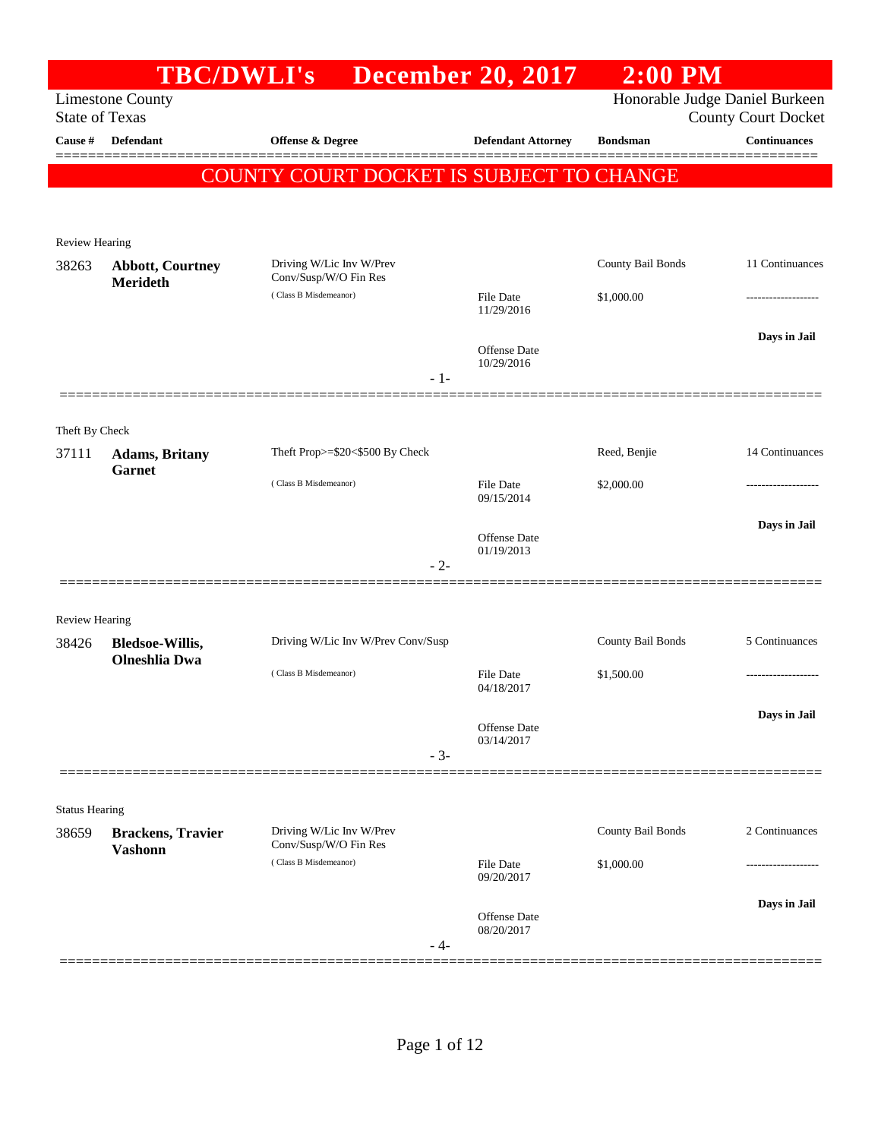|                         |                                                | TBC/DWLI's December 20, 2017                      |                                   | $2:00$ PM         |                                                              |
|-------------------------|------------------------------------------------|---------------------------------------------------|-----------------------------------|-------------------|--------------------------------------------------------------|
| <b>State of Texas</b>   | <b>Limestone County</b>                        |                                                   |                                   |                   | Honorable Judge Daniel Burkeen<br><b>County Court Docket</b> |
| Cause #                 | Defendant                                      | Offense & Degree                                  | <b>Defendant Attorney</b>         | <b>Bondsman</b>   | <b>Continuances</b>                                          |
|                         |                                                | COUNTY COURT DOCKET IS SUBJECT TO CHANGE          |                                   |                   |                                                              |
|                         |                                                |                                                   |                                   |                   |                                                              |
| <b>Review Hearing</b>   |                                                |                                                   |                                   |                   |                                                              |
| 38263                   | <b>Abbott, Courtney</b><br><b>Merideth</b>     | Driving W/Lic Inv W/Prev<br>Conv/Susp/W/O Fin Res |                                   | County Bail Bonds | 11 Continuances                                              |
|                         |                                                | (Class B Misdemeanor)                             | File Date<br>11/29/2016           | \$1,000.00        |                                                              |
|                         |                                                |                                                   | <b>Offense</b> Date<br>10/29/2016 |                   | Days in Jail                                                 |
|                         |                                                | $-1-$                                             |                                   |                   |                                                              |
|                         |                                                |                                                   |                                   |                   |                                                              |
| Theft By Check<br>37111 | <b>Adams</b> , Britany                         | Theft Prop>=\$20<\$500 By Check                   |                                   | Reed, Benjie      | 14 Continuances                                              |
|                         | <b>Garnet</b>                                  | (Class B Misdemeanor)                             | <b>File Date</b><br>09/15/2014    | \$2,000.00        |                                                              |
|                         |                                                |                                                   | Offense Date                      |                   | Days in Jail                                                 |
|                         |                                                | $-2-$                                             | 01/19/2013                        |                   |                                                              |
|                         |                                                |                                                   |                                   |                   |                                                              |
| <b>Review Hearing</b>   |                                                |                                                   |                                   |                   |                                                              |
| 38426                   | <b>Bledsoe-Willis,</b><br><b>Olneshlia</b> Dwa | Driving W/Lic Inv W/Prev Conv/Susp                |                                   | County Bail Bonds | 5 Continuances                                               |
|                         |                                                | (Class B Misdemeanor)                             | File Date<br>04/18/2017           | \$1,500.00        | ------------------                                           |
|                         |                                                |                                                   |                                   |                   | Days in Jail                                                 |
|                         |                                                |                                                   | Offense Date<br>03/14/2017        |                   |                                                              |
|                         |                                                | $-3-$                                             |                                   |                   |                                                              |
| <b>Status Hearing</b>   |                                                |                                                   |                                   |                   |                                                              |
| 38659                   | <b>Brackens</b> , Travier<br><b>Vashonn</b>    | Driving W/Lic Inv W/Prev<br>Conv/Susp/W/O Fin Res |                                   | County Bail Bonds | 2 Continuances                                               |
|                         |                                                | (Class B Misdemeanor)                             | <b>File Date</b><br>09/20/2017    | \$1,000.00        | ----------------                                             |
|                         |                                                |                                                   |                                   |                   | Days in Jail                                                 |
|                         |                                                | - 4-                                              | Offense Date<br>08/20/2017        |                   |                                                              |
|                         |                                                |                                                   |                                   |                   |                                                              |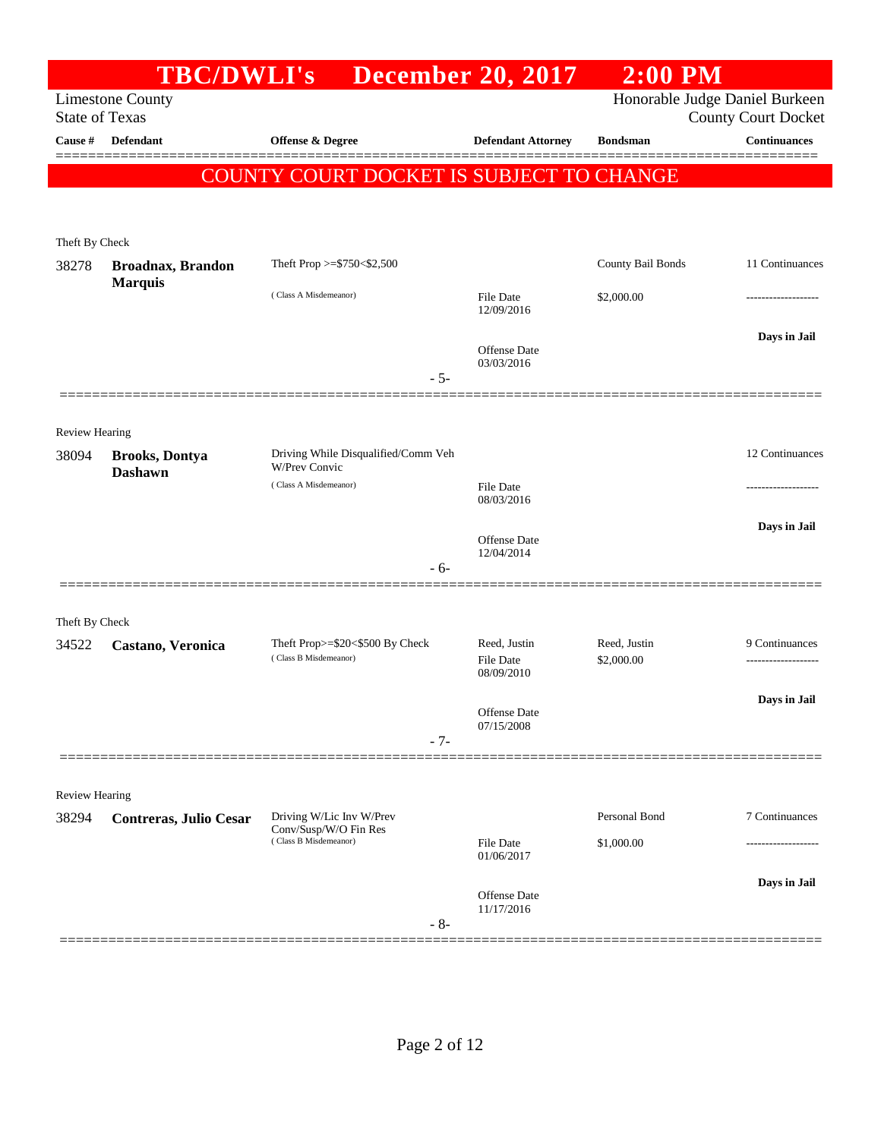|                                | <b>TBC/DWLI's</b>                          |                                                             | <b>December 20, 2017</b>          | $2:00$ PM                      |                            |
|--------------------------------|--------------------------------------------|-------------------------------------------------------------|-----------------------------------|--------------------------------|----------------------------|
| <b>State of Texas</b>          | <b>Limestone County</b>                    |                                                             |                                   | Honorable Judge Daniel Burkeen | <b>County Court Docket</b> |
| Cause #                        | <b>Defendant</b>                           | <b>Offense &amp; Degree</b>                                 | <b>Defendant Attorney</b>         | <b>Bondsman</b>                | <b>Continuances</b>        |
|                                |                                            | COUNTY COURT DOCKET IS SUBJECT TO CHANGE                    |                                   |                                |                            |
|                                |                                            |                                                             |                                   |                                |                            |
| Theft By Check                 |                                            |                                                             |                                   |                                |                            |
| 38278                          | <b>Broadnax, Brandon</b><br><b>Marquis</b> | Theft Prop $>=$ \$750 < \$2,500                             |                                   | County Bail Bonds              | 11 Continuances            |
|                                |                                            | (Class A Misdemeanor)                                       | File Date<br>12/09/2016           | \$2,000.00                     | .                          |
|                                |                                            |                                                             | <b>Offense</b> Date<br>03/03/2016 |                                | Days in Jail               |
|                                |                                            | $-5-$                                                       |                                   |                                |                            |
|                                |                                            |                                                             |                                   |                                |                            |
| <b>Review Hearing</b><br>38094 | <b>Brooks, Dontya</b><br><b>Dashawn</b>    | Driving While Disqualified/Comm Veh<br><b>W/Prev Convic</b> |                                   |                                | 12 Continuances            |
|                                |                                            | (Class A Misdemeanor)                                       | File Date<br>08/03/2016           |                                | ----------------           |
|                                |                                            |                                                             | Offense Date<br>12/04/2014        |                                | Days in Jail               |
|                                |                                            | - 6-                                                        |                                   |                                |                            |
| Theft By Check                 |                                            |                                                             |                                   |                                |                            |
| 34522                          | Castano, Veronica                          | Theft Prop>=\$20<\$500 By Check                             | Reed, Justin                      | Reed, Justin                   | 9 Continuances             |
|                                |                                            | (Class B Misdemeanor)                                       | <b>File Date</b><br>08/09/2010    | \$2,000.00                     |                            |
|                                |                                            |                                                             | Offense Date<br>07/15/2008        |                                | Days in Jail               |
|                                |                                            | $-7-$                                                       |                                   |                                |                            |
|                                |                                            |                                                             |                                   |                                |                            |
| Review Hearing<br>38294        |                                            | Driving W/Lic Inv W/Prev                                    |                                   | Personal Bond                  | 7 Continuances             |
|                                | Contreras, Julio Cesar                     | Conv/Susp/W/O Fin Res<br>(Class B Misdemeanor)              | File Date                         | \$1,000.00                     |                            |
|                                |                                            |                                                             | 01/06/2017                        |                                |                            |
|                                |                                            | $-8-$                                                       | Offense Date<br>11/17/2016        |                                | Days in Jail               |
|                                |                                            |                                                             |                                   |                                |                            |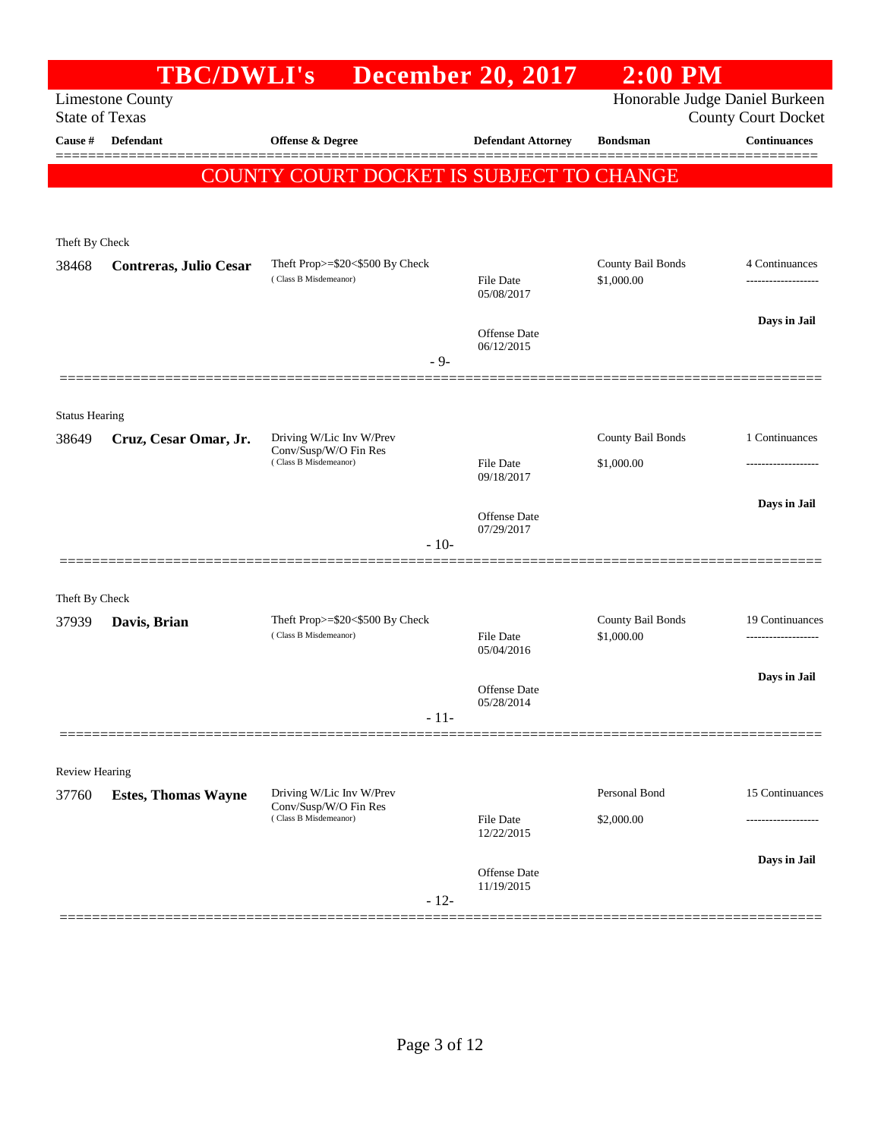|                                | <b>TBC/DWLI's</b>             |                                                          | <b>December 20, 2017</b>       | $2:00$ PM                              |                            |
|--------------------------------|-------------------------------|----------------------------------------------------------|--------------------------------|----------------------------------------|----------------------------|
| <b>State of Texas</b>          | <b>Limestone County</b>       |                                                          |                                | Honorable Judge Daniel Burkeen         | <b>County Court Docket</b> |
| Cause #                        | <b>Defendant</b>              | <b>Offense &amp; Degree</b>                              | <b>Defendant Attorney</b>      | <b>Bondsman</b>                        | <b>Continuances</b>        |
|                                |                               | COUNTY COURT DOCKET IS SUBJECT TO CHANGE                 |                                |                                        |                            |
|                                |                               |                                                          |                                |                                        |                            |
|                                |                               |                                                          |                                |                                        |                            |
| Theft By Check                 |                               |                                                          |                                |                                        |                            |
| 38468                          | <b>Contreras, Julio Cesar</b> | Theft Prop>=\$20<\$500 By Check<br>(Class B Misdemeanor) | <b>File Date</b><br>05/08/2017 | <b>County Bail Bonds</b><br>\$1,000.00 | 4 Continuances             |
|                                |                               |                                                          |                                |                                        | Days in Jail               |
|                                |                               |                                                          | Offense Date<br>06/12/2015     |                                        |                            |
|                                |                               | $-9-$                                                    |                                |                                        |                            |
|                                |                               |                                                          |                                |                                        |                            |
| <b>Status Hearing</b><br>38649 | Cruz, Cesar Omar, Jr.         | Driving W/Lic Inv W/Prev                                 |                                | <b>County Bail Bonds</b>               | 1 Continuances             |
|                                |                               | Conv/Susp/W/O Fin Res<br>(Class B Misdemeanor)           | <b>File Date</b>               | \$1,000.00                             |                            |
|                                |                               |                                                          | 09/18/2017                     |                                        |                            |
|                                |                               |                                                          | Offense Date                   |                                        | Days in Jail               |
|                                |                               | $-10-$                                                   | 07/29/2017                     |                                        |                            |
|                                |                               |                                                          |                                |                                        |                            |
| Theft By Check                 |                               |                                                          |                                |                                        |                            |
| 37939                          | Davis, Brian                  | Theft Prop>=\$20<\$500 By Check<br>(Class B Misdemeanor) | File Date                      | County Bail Bonds<br>\$1,000.00        | 19 Continuances<br>        |
|                                |                               |                                                          | 05/04/2016                     |                                        |                            |
|                                |                               |                                                          | Offense Date                   |                                        | Days in Jail               |
|                                |                               | $-11-$                                                   | 05/28/2014                     |                                        |                            |
|                                |                               |                                                          |                                |                                        |                            |
| Review Hearing                 |                               |                                                          |                                |                                        |                            |
| 37760                          | <b>Estes, Thomas Wayne</b>    | Driving W/Lic Inv W/Prev<br>Conv/Susp/W/O Fin Res        |                                | Personal Bond                          | 15 Continuances            |
|                                |                               | (Class B Misdemeanor)                                    | <b>File Date</b><br>12/22/2015 | \$2,000.00                             | .                          |
|                                |                               |                                                          | Offense Date                   |                                        | Days in Jail               |
|                                |                               | $-12-$                                                   | 11/19/2015                     |                                        |                            |
|                                |                               |                                                          |                                |                                        |                            |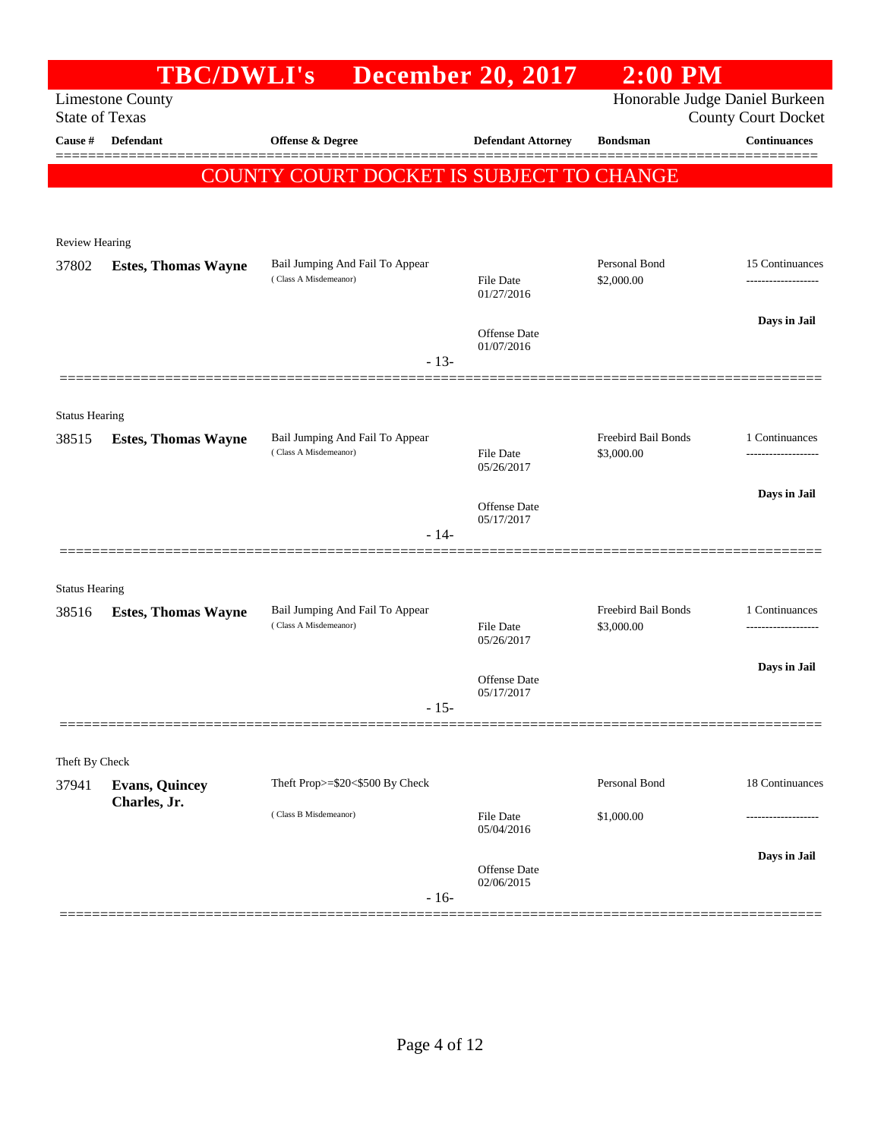|                       | <b>TBC/DWLI's</b>                     |                                                          | <b>December 20, 2017</b>       | $2:00$ PM                         |                                       |
|-----------------------|---------------------------------------|----------------------------------------------------------|--------------------------------|-----------------------------------|---------------------------------------|
| <b>State of Texas</b> | <b>Limestone County</b>               |                                                          |                                | Honorable Judge Daniel Burkeen    | <b>County Court Docket</b>            |
| Cause #               | <b>Defendant</b>                      | <b>Offense &amp; Degree</b>                              | <b>Defendant Attorney</b>      | <b>Bondsman</b>                   | <b>Continuances</b>                   |
|                       |                                       | COUNTY COURT DOCKET IS SUBJECT TO CHANGE                 |                                |                                   |                                       |
|                       |                                       |                                                          |                                |                                   |                                       |
|                       |                                       |                                                          |                                |                                   |                                       |
| <b>Review Hearing</b> |                                       |                                                          |                                |                                   |                                       |
| 37802                 | <b>Estes, Thomas Wayne</b>            | Bail Jumping And Fail To Appear<br>(Class A Misdemeanor) | <b>File Date</b><br>01/27/2016 | Personal Bond<br>\$2,000.00       | 15 Continuances<br>.                  |
|                       |                                       |                                                          |                                |                                   | Days in Jail                          |
|                       |                                       |                                                          | Offense Date<br>01/07/2016     |                                   |                                       |
|                       |                                       | $-13-$                                                   |                                |                                   |                                       |
| <b>Status Hearing</b> |                                       |                                                          |                                |                                   |                                       |
| 38515                 | <b>Estes, Thomas Wayne</b>            | Bail Jumping And Fail To Appear                          |                                | Freebird Bail Bonds               | 1 Continuances                        |
|                       |                                       | (Class A Misdemeanor)                                    | <b>File Date</b><br>05/26/2017 | \$3,000.00                        | -----------------                     |
|                       |                                       |                                                          | Offense Date                   |                                   | Days in Jail                          |
|                       |                                       | $-14-$                                                   | 05/17/2017                     |                                   |                                       |
|                       |                                       |                                                          |                                |                                   |                                       |
| <b>Status Hearing</b> |                                       |                                                          |                                |                                   |                                       |
| 38516                 | <b>Estes, Thomas Wayne</b>            | Bail Jumping And Fail To Appear<br>(Class A Misdemeanor) | <b>File Date</b>               | Freebird Bail Bonds<br>\$3,000.00 | 1 Continuances<br>------------------- |
|                       |                                       |                                                          | 05/26/2017                     |                                   |                                       |
|                       |                                       |                                                          | Offense Date                   |                                   | Days in Jail                          |
|                       |                                       | - 15-                                                    | 05/17/2017                     |                                   |                                       |
|                       |                                       |                                                          |                                |                                   |                                       |
| Theft By Check        |                                       |                                                          |                                |                                   |                                       |
| 37941                 | <b>Evans, Quincey</b><br>Charles, Jr. | Theft Prop>=\$20<\$500 By Check                          |                                | Personal Bond                     | 18 Continuances                       |
|                       |                                       | (Class B Misdemeanor)                                    | <b>File Date</b><br>05/04/2016 | \$1,000.00                        |                                       |
|                       |                                       |                                                          | <b>Offense Date</b>            |                                   | Days in Jail                          |
|                       |                                       | $-16-$                                                   | 02/06/2015                     |                                   |                                       |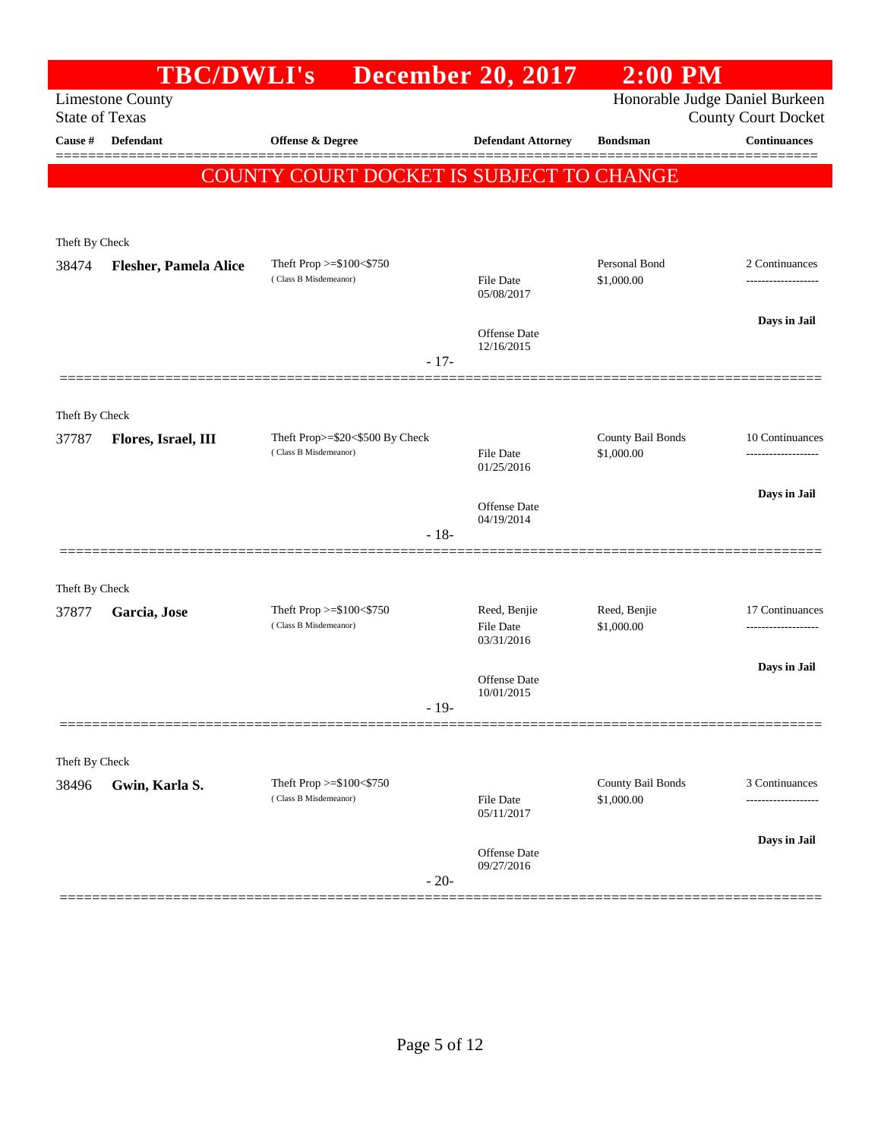|                         | <b>TBC/DWLI's</b>            |                                                          | <b>December 20, 2017</b>         | $2:00$ PM                       |                                                              |
|-------------------------|------------------------------|----------------------------------------------------------|----------------------------------|---------------------------------|--------------------------------------------------------------|
| <b>State of Texas</b>   | <b>Limestone County</b>      |                                                          |                                  |                                 | Honorable Judge Daniel Burkeen<br><b>County Court Docket</b> |
| Cause #                 | <b>Defendant</b>             | Offense & Degree                                         | <b>Defendant Attorney</b>        | <b>Bondsman</b>                 | <b>Continuances</b>                                          |
|                         |                              | COUNTY COURT DOCKET IS SUBJECT TO CHANGE                 |                                  |                                 |                                                              |
|                         |                              |                                                          |                                  |                                 |                                                              |
|                         |                              |                                                          |                                  |                                 |                                                              |
| Theft By Check<br>38474 | <b>Flesher, Pamela Alice</b> | Theft Prop >=\$100<\$750                                 |                                  | Personal Bond                   | 2 Continuances                                               |
|                         |                              | (Class B Misdemeanor)                                    | <b>File Date</b><br>05/08/2017   | \$1,000.00                      |                                                              |
|                         |                              |                                                          |                                  |                                 | Days in Jail                                                 |
|                         |                              |                                                          | Offense Date<br>12/16/2015       |                                 |                                                              |
|                         |                              | $-17-$                                                   |                                  |                                 |                                                              |
|                         |                              |                                                          |                                  |                                 |                                                              |
| Theft By Check          |                              |                                                          |                                  |                                 |                                                              |
| 37787                   | Flores, Israel, III          | Theft Prop>=\$20<\$500 By Check<br>(Class B Misdemeanor) | File Date                        | County Bail Bonds<br>\$1,000.00 | 10 Continuances<br>-------------------                       |
|                         |                              |                                                          | 01/25/2016                       |                                 |                                                              |
|                         |                              |                                                          | Offense Date                     |                                 | Days in Jail                                                 |
|                         |                              | $-18-$                                                   | 04/19/2014                       |                                 |                                                              |
|                         |                              |                                                          |                                  |                                 |                                                              |
| Theft By Check          |                              |                                                          |                                  |                                 |                                                              |
| 37877                   | Garcia, Jose                 | Theft Prop >=\$100<\$750<br>(Class B Misdemeanor)        | Reed, Benjie<br><b>File Date</b> | Reed, Benjie<br>\$1,000.00      | 17 Continuances<br>                                          |
|                         |                              |                                                          | 03/31/2016                       |                                 |                                                              |
|                         |                              |                                                          | Offense Date                     |                                 | Days in Jail                                                 |
|                         |                              | $-19-$                                                   | 10/01/2015                       |                                 |                                                              |
|                         |                              |                                                          |                                  |                                 |                                                              |
| Theft By Check          |                              |                                                          |                                  |                                 |                                                              |
| 38496                   | Gwin, Karla S.               | Theft Prop $>=\$100<\$750$                               |                                  | County Bail Bonds               | 3 Continuances                                               |
|                         |                              | (Class B Misdemeanor)                                    | <b>File Date</b><br>05/11/2017   | \$1,000.00                      | --------                                                     |
|                         |                              |                                                          |                                  |                                 | Days in Jail                                                 |
|                         |                              |                                                          | Offense Date<br>09/27/2016       |                                 |                                                              |
|                         |                              | $-20-$                                                   |                                  |                                 |                                                              |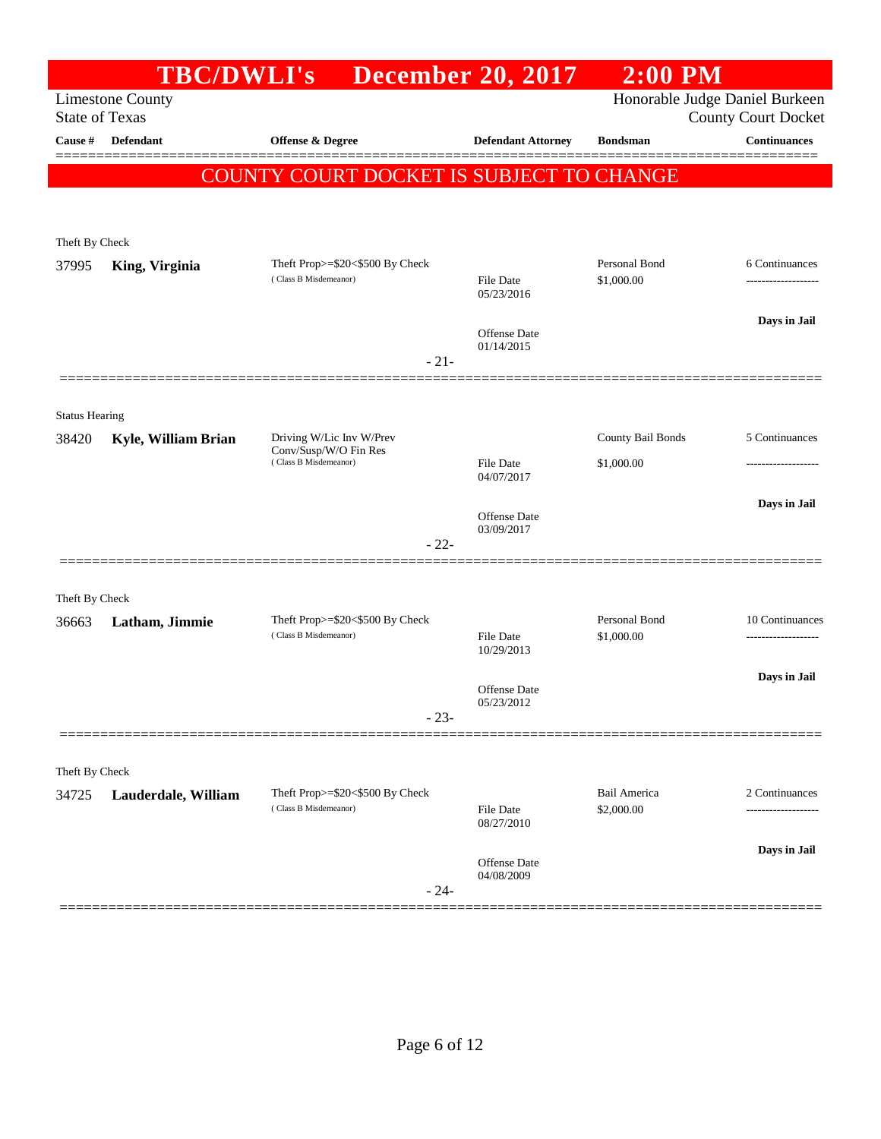|                       | <b>TBC/DWLI's</b>       |                                                                  | <b>December 20, 2017</b>          | $2:00$ PM                      |                                                   |
|-----------------------|-------------------------|------------------------------------------------------------------|-----------------------------------|--------------------------------|---------------------------------------------------|
| <b>State of Texas</b> | <b>Limestone County</b> |                                                                  |                                   | Honorable Judge Daniel Burkeen |                                                   |
| Cause #               | Defendant               | <b>Offense &amp; Degree</b>                                      | <b>Defendant Attorney</b>         | <b>Bondsman</b>                | <b>County Court Docket</b><br><b>Continuances</b> |
|                       |                         |                                                                  |                                   |                                |                                                   |
|                       |                         | COUNTY COURT DOCKET IS SUBJECT TO CHANGE                         |                                   |                                |                                                   |
|                       |                         |                                                                  |                                   |                                |                                                   |
| Theft By Check        |                         |                                                                  |                                   |                                |                                                   |
| 37995                 | King, Virginia          | Theft Prop $>=$ \$20 $<$ \$500 By Check<br>(Class B Misdemeanor) | File Date                         | Personal Bond<br>\$1,000.00    | 6 Continuances                                    |
|                       |                         |                                                                  | 05/23/2016                        |                                |                                                   |
|                       |                         |                                                                  | <b>Offense</b> Date               |                                | Days in Jail                                      |
|                       |                         | $-21-$                                                           | 01/14/2015                        |                                |                                                   |
|                       |                         |                                                                  |                                   |                                |                                                   |
| <b>Status Hearing</b> |                         |                                                                  |                                   |                                |                                                   |
| 38420                 | Kyle, William Brian     | Driving W/Lic Inv W/Prev                                         |                                   | County Bail Bonds              | 5 Continuances                                    |
|                       |                         | Conv/Susp/W/O Fin Res<br>(Class B Misdemeanor)                   | File Date                         | \$1,000.00                     |                                                   |
|                       |                         |                                                                  | 04/07/2017                        |                                |                                                   |
|                       |                         |                                                                  | Offense Date                      |                                | Days in Jail                                      |
|                       |                         | $-22-$                                                           | 03/09/2017                        |                                |                                                   |
|                       |                         |                                                                  |                                   |                                |                                                   |
| Theft By Check        |                         |                                                                  |                                   |                                |                                                   |
| 36663                 | Latham, Jimmie          | Theft Prop>=\$20<\$500 By Check<br>(Class B Misdemeanor)         | File Date                         | Personal Bond<br>\$1,000.00    | 10 Continuances<br>----------------               |
|                       |                         |                                                                  | 10/29/2013                        |                                |                                                   |
|                       |                         |                                                                  | <b>Offense</b> Date               |                                | Days in Jail                                      |
|                       |                         | $-23-$                                                           | 05/23/2012                        |                                |                                                   |
|                       |                         |                                                                  |                                   |                                |                                                   |
| Theft By Check        |                         |                                                                  |                                   |                                |                                                   |
| 34725                 | Lauderdale, William     | Theft Prop>=\$20<\$500 By Check                                  |                                   | <b>Bail America</b>            | 2 Continuances                                    |
|                       |                         | (Class B Misdemeanor)                                            | File Date<br>08/27/2010           | \$2,000.00                     | ------------------                                |
|                       |                         |                                                                  |                                   |                                | Days in Jail                                      |
|                       |                         |                                                                  | <b>Offense</b> Date<br>04/08/2009 |                                |                                                   |
|                       |                         | $-24-$                                                           |                                   |                                |                                                   |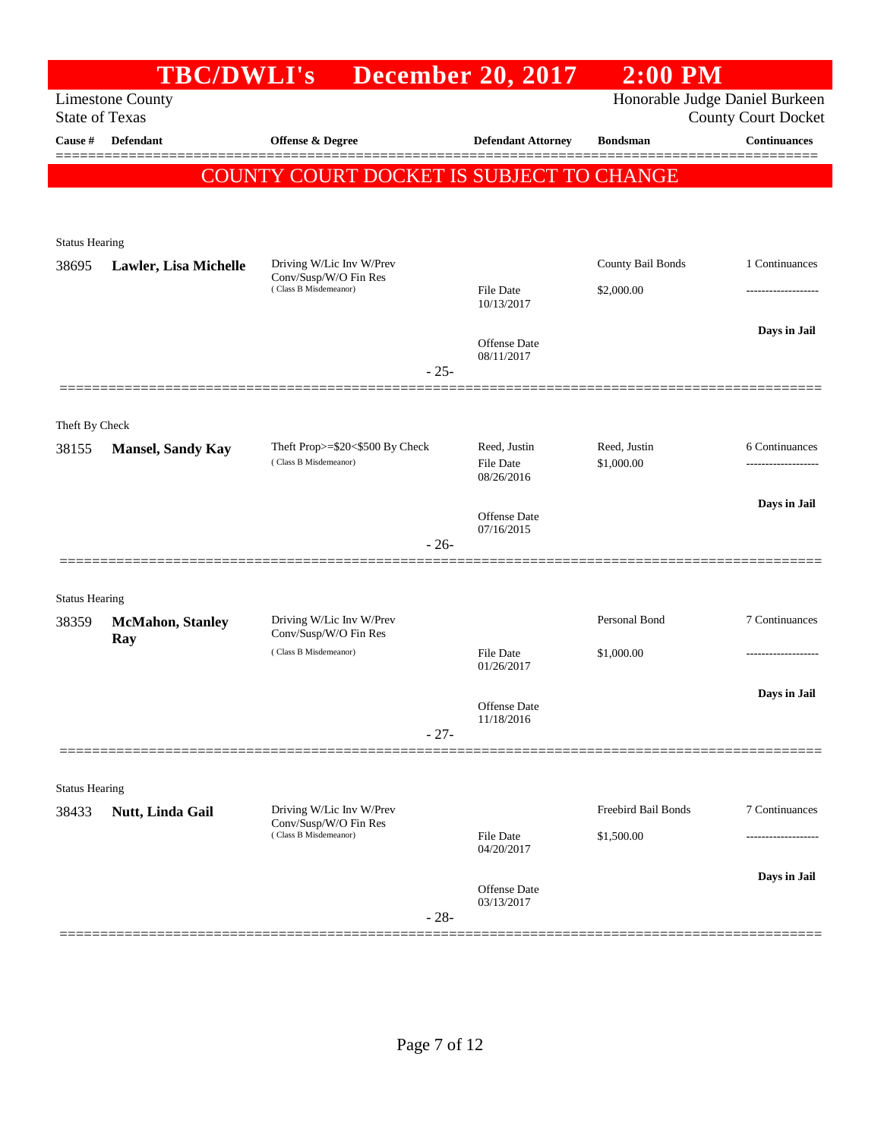|                         | <b>TBC/DWLI's</b>        |                                                                            | <b>December 20, 2017</b>          | $2:00$ PM             |                                                              |
|-------------------------|--------------------------|----------------------------------------------------------------------------|-----------------------------------|-----------------------|--------------------------------------------------------------|
| <b>State of Texas</b>   | <b>Limestone County</b>  |                                                                            |                                   |                       | Honorable Judge Daniel Burkeen<br><b>County Court Docket</b> |
| Cause #                 | <b>Defendant</b>         | <b>Offense &amp; Degree</b>                                                | <b>Defendant Attorney</b>         | <b>Bondsman</b>       | <b>Continuances</b>                                          |
|                         |                          | COUNTY COURT DOCKET IS SUBJECT TO CHANGE                                   |                                   |                       |                                                              |
|                         |                          |                                                                            |                                   |                       |                                                              |
| <b>Status Hearing</b>   |                          |                                                                            |                                   |                       |                                                              |
| 38695                   | Lawler, Lisa Michelle    | Driving W/Lic Inv W/Prev<br>Conv/Susp/W/O Fin Res                          |                                   | County Bail Bonds     | 1 Continuances                                               |
|                         |                          | (Class B Misdemeanor)                                                      | <b>File Date</b><br>10/13/2017    | \$2,000.00            | .                                                            |
|                         |                          |                                                                            |                                   |                       | Days in Jail                                                 |
|                         |                          |                                                                            | <b>Offense</b> Date<br>08/11/2017 |                       |                                                              |
|                         |                          | $-25-$                                                                     |                                   |                       |                                                              |
|                         |                          |                                                                            |                                   |                       |                                                              |
| Theft By Check<br>38155 | <b>Mansel, Sandy Kay</b> | Theft Prop>=\$20<\$500 By Check                                            | Reed, Justin                      | Reed, Justin          | 6 Continuances                                               |
|                         |                          | (Class B Misdemeanor)                                                      | <b>File Date</b><br>08/26/2016    | \$1,000.00            |                                                              |
|                         |                          |                                                                            |                                   |                       | Days in Jail                                                 |
|                         |                          |                                                                            | Offense Date<br>07/16/2015        |                       |                                                              |
|                         |                          | $-26-$                                                                     |                                   |                       |                                                              |
| <b>Status Hearing</b>   |                          |                                                                            |                                   |                       |                                                              |
| 38359                   | <b>McMahon</b> , Stanley | Driving W/Lic Inv W/Prev                                                   |                                   | Personal Bond         | 7 Continuances                                               |
|                         | Ray                      | Conv/Susp/W/O Fin Res<br>(Class B Misdemeanor)                             | File Date                         | \$1,000.00            |                                                              |
|                         |                          |                                                                            | 01/26/2017                        |                       |                                                              |
|                         |                          |                                                                            | Offense Date                      |                       | Days in Jail                                                 |
|                         |                          | $-27-$                                                                     | 11/18/2016                        |                       |                                                              |
|                         |                          |                                                                            |                                   |                       |                                                              |
| <b>Status Hearing</b>   |                          |                                                                            |                                   |                       |                                                              |
| 38433                   | Nutt, Linda Gail         | Driving W/Lic Inv W/Prev<br>Conv/Susp/W/O Fin Res<br>(Class B Misdemeanor) |                                   | Freebird Bail Bonds   | 7 Continuances                                               |
|                         |                          |                                                                            | File Date<br>04/20/2017           | \$1,500.00            | ------------------                                           |
|                         |                          |                                                                            | <b>Offense</b> Date               |                       | Days in Jail                                                 |
|                         |                          | $-28-$                                                                     | 03/13/2017                        |                       |                                                              |
|                         |                          |                                                                            |                                   | ===================== |                                                              |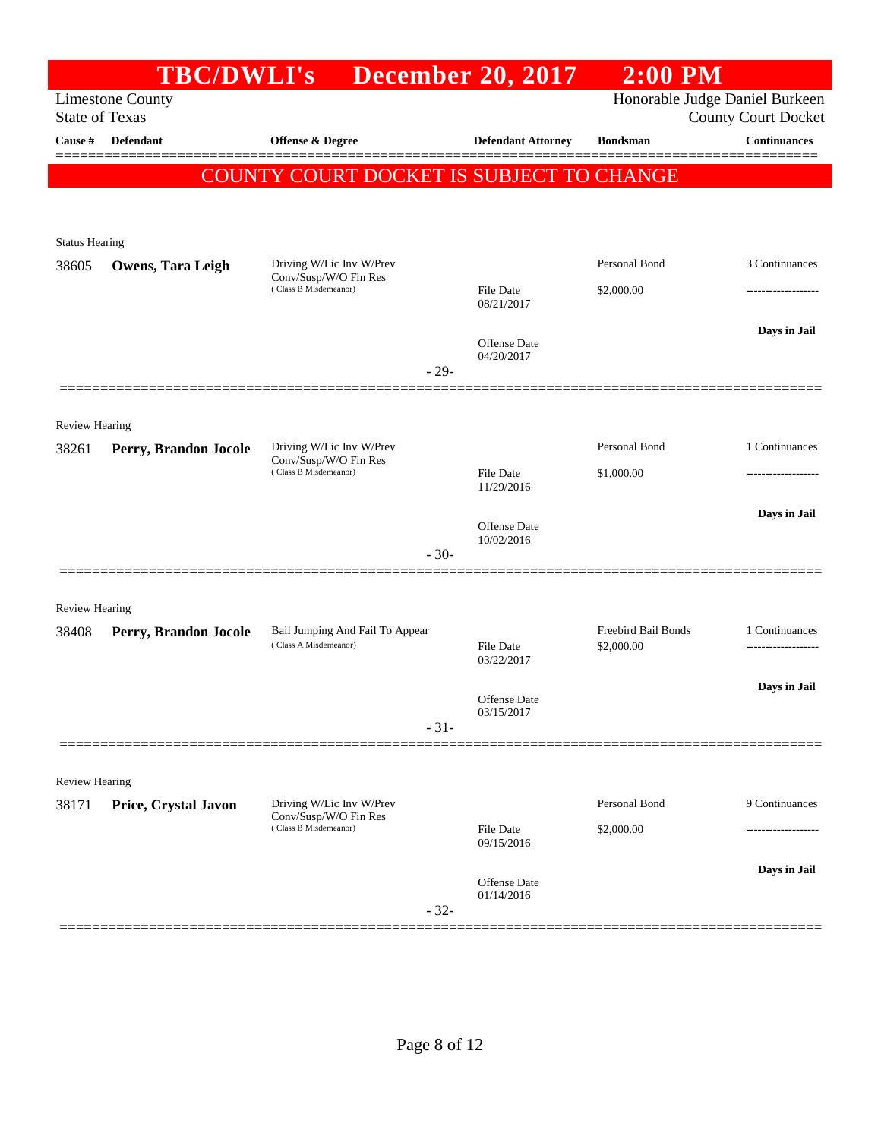|                                | <b>TBC/DWLI's</b>                                |                                                          | <b>December 20, 2017</b>          | $2:00$ PM                         |                                                              |
|--------------------------------|--------------------------------------------------|----------------------------------------------------------|-----------------------------------|-----------------------------------|--------------------------------------------------------------|
|                                | <b>Limestone County</b><br><b>State of Texas</b> |                                                          |                                   |                                   | Honorable Judge Daniel Burkeen<br><b>County Court Docket</b> |
| Cause #                        | Defendant                                        | <b>Offense &amp; Degree</b>                              | <b>Defendant Attorney</b>         | <b>Bondsman</b>                   | <b>Continuances</b>                                          |
|                                |                                                  | COUNTY COURT DOCKET IS SUBJECT TO CHANGE                 |                                   |                                   |                                                              |
|                                |                                                  |                                                          |                                   |                                   |                                                              |
| <b>Status Hearing</b>          |                                                  |                                                          |                                   |                                   |                                                              |
| 38605                          | Owens, Tara Leigh                                | Driving W/Lic Inv W/Prev<br>Conv/Susp/W/O Fin Res        |                                   | Personal Bond                     | 3 Continuances                                               |
|                                |                                                  | (Class B Misdemeanor)                                    | <b>File Date</b><br>08/21/2017    | \$2,000.00                        |                                                              |
|                                |                                                  |                                                          | Offense Date                      |                                   | Days in Jail                                                 |
|                                |                                                  | $-29-$                                                   | 04/20/2017                        |                                   |                                                              |
|                                |                                                  |                                                          |                                   |                                   |                                                              |
| Review Hearing<br>38261        |                                                  | Driving W/Lic Inv W/Prev                                 |                                   | Personal Bond                     | 1 Continuances                                               |
|                                | Perry, Brandon Jocole                            | Conv/Susp/W/O Fin Res<br>(Class B Misdemeanor)           | File Date                         | \$1,000.00                        | -------------------                                          |
|                                |                                                  |                                                          | 11/29/2016                        |                                   | Days in Jail                                                 |
|                                |                                                  |                                                          | Offense Date<br>10/02/2016        |                                   |                                                              |
|                                |                                                  | $-30-$                                                   |                                   |                                   |                                                              |
| <b>Review Hearing</b>          |                                                  |                                                          |                                   |                                   |                                                              |
| 38408                          | Perry, Brandon Jocole                            | Bail Jumping And Fail To Appear<br>(Class A Misdemeanor) | <b>File Date</b>                  | Freebird Bail Bonds<br>\$2,000.00 | 1 Continuances<br>-------------------                        |
|                                |                                                  |                                                          | 03/22/2017                        |                                   |                                                              |
|                                |                                                  |                                                          | <b>Offense</b> Date               |                                   | Days in Jail                                                 |
|                                |                                                  | $-31-$                                                   | 03/15/2017                        |                                   |                                                              |
|                                |                                                  |                                                          |                                   |                                   |                                                              |
| <b>Review Hearing</b><br>38171 | Price, Crystal Javon                             | Driving W/Lic Inv W/Prev                                 |                                   | Personal Bond                     | 9 Continuances                                               |
|                                |                                                  | Conv/Susp/W/O Fin Res<br>(Class B Misdemeanor)           | File Date<br>09/15/2016           | \$2,000.00                        | ---------------                                              |
|                                |                                                  |                                                          |                                   |                                   | Days in Jail                                                 |
|                                |                                                  |                                                          | <b>Offense Date</b><br>01/14/2016 |                                   |                                                              |
|                                |                                                  | $-32-$                                                   |                                   |                                   |                                                              |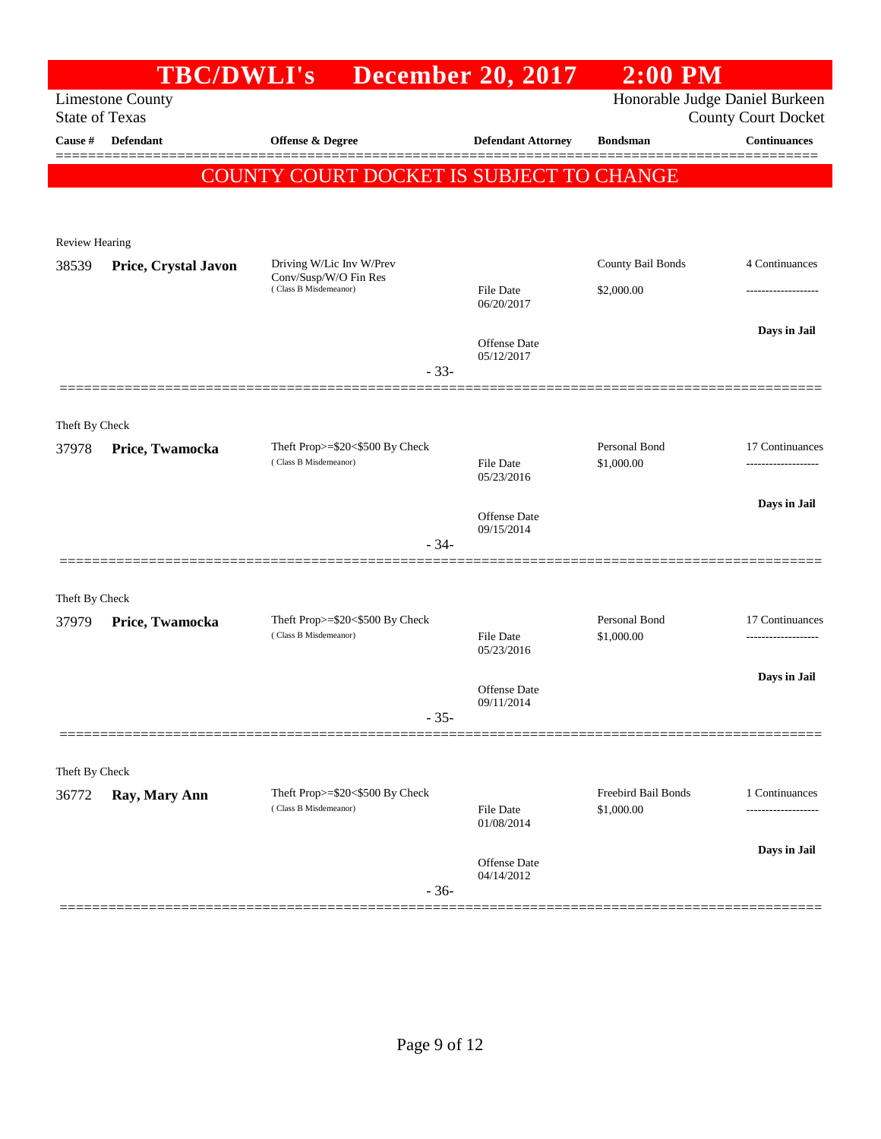|                         | <b>TBC/DWLI's</b>       |                                                          | <b>December 20, 2017</b>          | $2:00$ PM                   |                                                              |
|-------------------------|-------------------------|----------------------------------------------------------|-----------------------------------|-----------------------------|--------------------------------------------------------------|
| <b>State of Texas</b>   | <b>Limestone County</b> |                                                          |                                   |                             | Honorable Judge Daniel Burkeen<br><b>County Court Docket</b> |
| <b>Cause #</b>          | Defendant               | Offense & Degree                                         | <b>Defendant Attorney</b>         | <b>Bondsman</b>             | <b>Continuances</b>                                          |
|                         |                         |                                                          |                                   |                             |                                                              |
|                         |                         | COUNTY COURT DOCKET IS SUBJECT TO CHANGE                 |                                   |                             |                                                              |
|                         |                         |                                                          |                                   |                             |                                                              |
| Review Hearing          |                         |                                                          |                                   |                             |                                                              |
| 38539                   | Price, Crystal Javon    | Driving W/Lic Inv W/Prev<br>Conv/Susp/W/O Fin Res        |                                   | County Bail Bonds           | 4 Continuances                                               |
|                         |                         | (Class B Misdemeanor)                                    | File Date<br>06/20/2017           | \$2,000.00                  |                                                              |
|                         |                         |                                                          |                                   |                             | Days in Jail                                                 |
|                         |                         |                                                          | <b>Offense</b> Date<br>05/12/2017 |                             |                                                              |
|                         |                         | $-33-$                                                   |                                   |                             |                                                              |
|                         |                         |                                                          |                                   |                             |                                                              |
| Theft By Check          |                         |                                                          |                                   |                             |                                                              |
| 37978                   | Price, Twamocka         | Theft Prop>=\$20<\$500 By Check<br>(Class B Misdemeanor) | <b>File Date</b>                  | Personal Bond<br>\$1,000.00 | 17 Continuances                                              |
|                         |                         |                                                          | 05/23/2016                        |                             |                                                              |
|                         |                         |                                                          | Offense Date                      |                             | Days in Jail                                                 |
|                         |                         | $-34-$                                                   | 09/15/2014                        |                             |                                                              |
|                         |                         |                                                          |                                   |                             |                                                              |
| Theft By Check          |                         |                                                          |                                   |                             |                                                              |
| 37979                   | Price, Twamocka         | Theft Prop>=\$20<\$500 By Check                          |                                   | Personal Bond               | 17 Continuances                                              |
|                         |                         | (Class B Misdemeanor)                                    | <b>File Date</b><br>05/23/2016    | \$1,000.00                  | -----------------                                            |
|                         |                         |                                                          |                                   |                             | Days in Jail                                                 |
|                         |                         |                                                          | Offense Date<br>09/11/2014        |                             |                                                              |
|                         |                         | $-35-$                                                   |                                   |                             |                                                              |
|                         |                         |                                                          |                                   |                             |                                                              |
| Theft By Check<br>36772 |                         | Theft Prop>=\$20<\$500 By Check                          |                                   | Freebird Bail Bonds         | 1 Continuances                                               |
|                         | Ray, Mary Ann           | (Class B Misdemeanor)                                    | File Date                         | \$1,000.00                  | ------------------                                           |
|                         |                         |                                                          | 01/08/2014                        |                             |                                                              |
|                         |                         |                                                          | Offense Date<br>04/14/2012        |                             | Days in Jail                                                 |
|                         |                         | $-36-$                                                   |                                   |                             |                                                              |
|                         |                         |                                                          |                                   |                             |                                                              |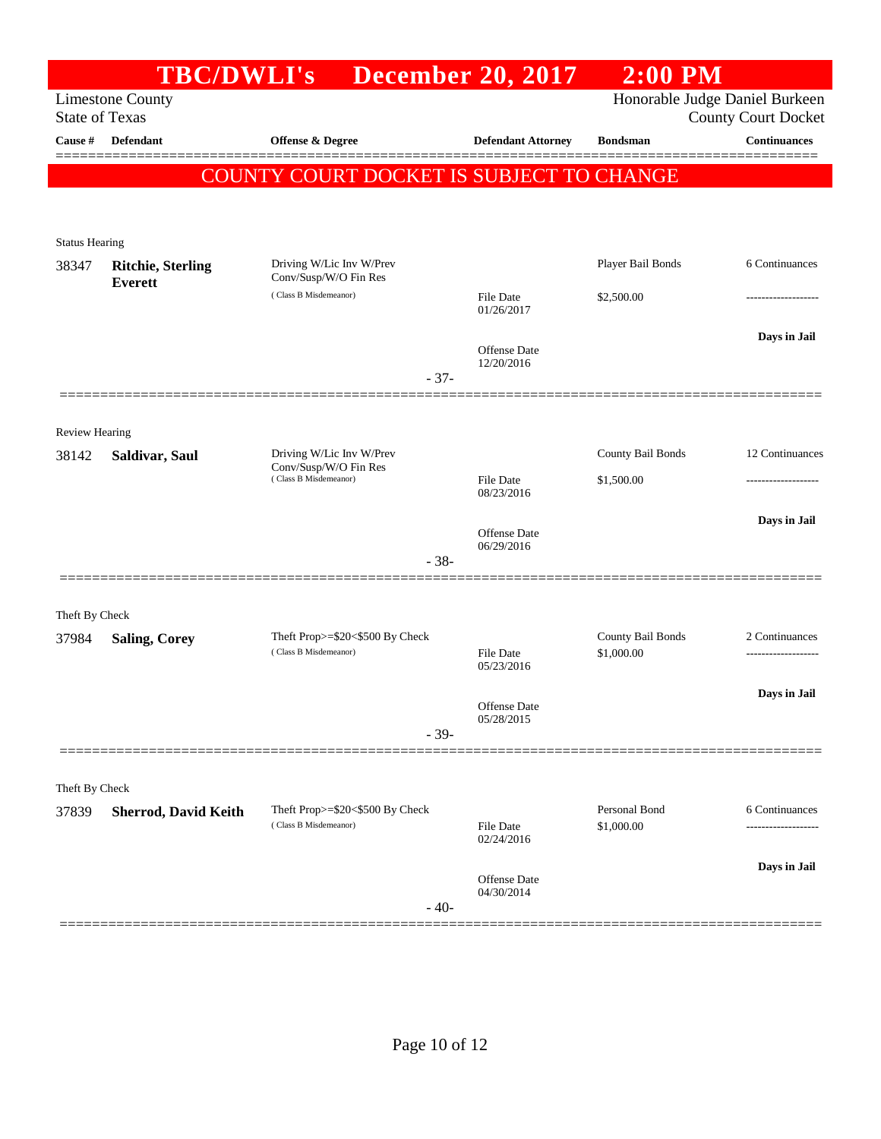|                       | TBC/DWLI's                  |                                                          | <b>December 20, 2017</b>       | $2:00$ PM                       |                                                              |
|-----------------------|-----------------------------|----------------------------------------------------------|--------------------------------|---------------------------------|--------------------------------------------------------------|
| <b>State of Texas</b> | <b>Limestone County</b>     |                                                          |                                |                                 | Honorable Judge Daniel Burkeen<br><b>County Court Docket</b> |
| Cause #               | <b>Defendant</b>            | <b>Offense &amp; Degree</b>                              | <b>Defendant Attorney</b>      | <b>Bondsman</b>                 | <b>Continuances</b>                                          |
|                       |                             | COUNTY COURT DOCKET IS SUBJECT TO CHANGE                 |                                |                                 |                                                              |
|                       |                             |                                                          |                                |                                 |                                                              |
| <b>Status Hearing</b> |                             |                                                          |                                |                                 |                                                              |
| 38347                 | <b>Ritchie, Sterling</b>    | Driving W/Lic Inv W/Prev<br>Conv/Susp/W/O Fin Res        |                                | Player Bail Bonds               | 6 Continuances                                               |
|                       | <b>Everett</b>              | (Class B Misdemeanor)                                    | <b>File Date</b><br>01/26/2017 | \$2,500.00                      |                                                              |
|                       |                             |                                                          | Offense Date                   |                                 | Days in Jail                                                 |
|                       |                             |                                                          | 12/20/2016                     |                                 |                                                              |
|                       |                             | $-37-$                                                   |                                |                                 |                                                              |
| <b>Review Hearing</b> |                             |                                                          |                                |                                 |                                                              |
| 38142                 | Saldivar, Saul              | Driving W/Lic Inv W/Prev                                 |                                | County Bail Bonds               | 12 Continuances                                              |
|                       |                             | Conv/Susp/W/O Fin Res<br>(Class B Misdemeanor)           | File Date                      | \$1,500.00                      |                                                              |
|                       |                             |                                                          | 08/23/2016                     |                                 |                                                              |
|                       |                             |                                                          | Offense Date                   |                                 | Days in Jail                                                 |
|                       |                             | $-38-$                                                   | 06/29/2016                     |                                 |                                                              |
|                       |                             |                                                          |                                |                                 |                                                              |
| Theft By Check        |                             |                                                          |                                |                                 |                                                              |
| 37984                 | <b>Saling, Corey</b>        | Theft Prop>=\$20<\$500 By Check<br>(Class B Misdemeanor) | <b>File Date</b>               | County Bail Bonds<br>\$1,000.00 | 2 Continuances<br>------------------                         |
|                       |                             |                                                          | 05/23/2016                     |                                 |                                                              |
|                       |                             |                                                          | Offense Date                   |                                 | Days in Jail                                                 |
|                       |                             | $-39-$                                                   | 05/28/2015                     |                                 |                                                              |
|                       |                             |                                                          |                                |                                 |                                                              |
| Theft By Check        |                             |                                                          |                                |                                 |                                                              |
| 37839                 | <b>Sherrod, David Keith</b> | Theft Prop>=\$20<\$500 By Check<br>(Class B Misdemeanor) |                                | Personal Bond                   | 6 Continuances                                               |
|                       |                             |                                                          | File Date<br>02/24/2016        | \$1,000.00                      | -----------------                                            |
|                       |                             |                                                          | Offense Date                   |                                 | Days in Jail                                                 |
|                       |                             | $-40-$                                                   | 04/30/2014                     |                                 |                                                              |
|                       |                             |                                                          |                                |                                 |                                                              |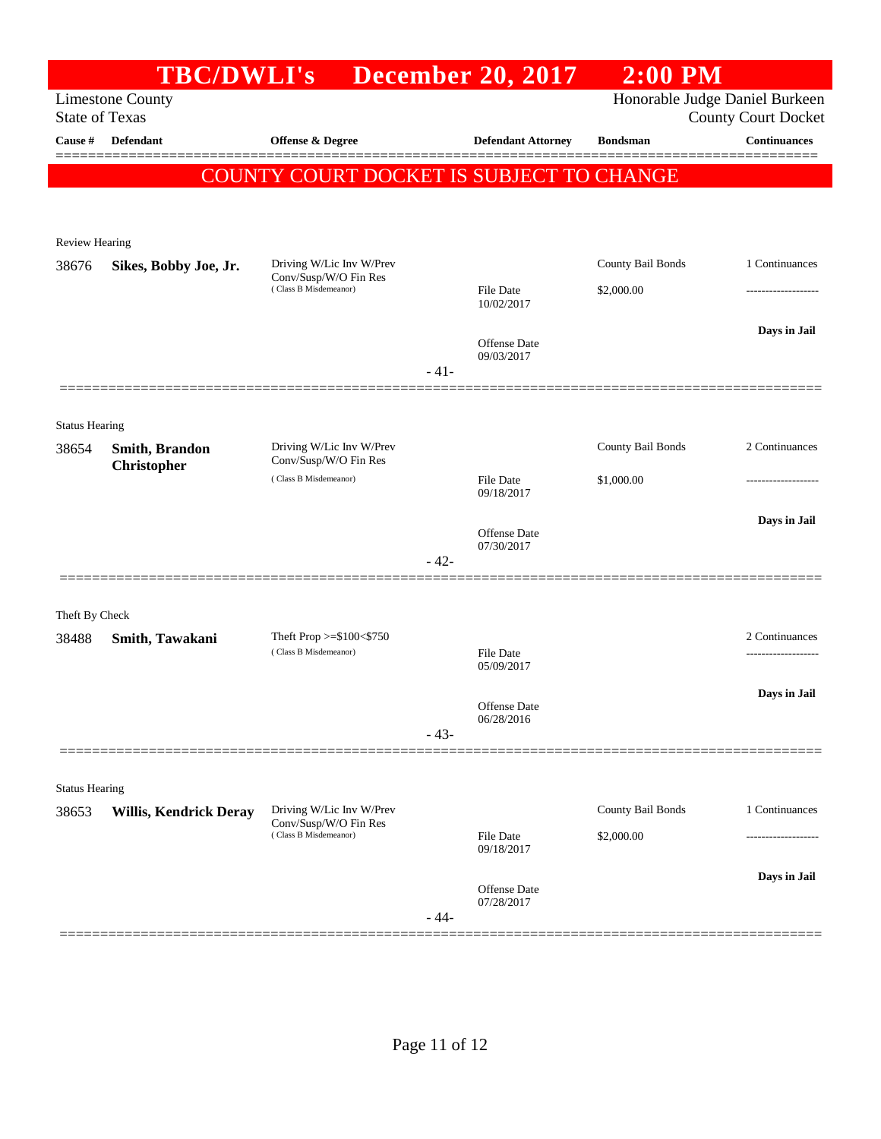|                       | <b>TBC/DWLI's</b>                    |                                                                            |        | <b>December 20, 2017</b>       | $2:00$ PM                       |                                                              |
|-----------------------|--------------------------------------|----------------------------------------------------------------------------|--------|--------------------------------|---------------------------------|--------------------------------------------------------------|
| <b>State of Texas</b> | <b>Limestone County</b>              |                                                                            |        |                                |                                 | Honorable Judge Daniel Burkeen<br><b>County Court Docket</b> |
| Cause #               | <b>Defendant</b>                     | <b>Offense &amp; Degree</b>                                                |        | <b>Defendant Attorney</b>      | <b>Bondsman</b>                 | <b>Continuances</b>                                          |
|                       |                                      | COUNTY COURT DOCKET IS SUBJECT TO CHANGE                                   |        |                                |                                 |                                                              |
|                       |                                      |                                                                            |        |                                |                                 |                                                              |
| <b>Review Hearing</b> |                                      |                                                                            |        |                                |                                 |                                                              |
| 38676                 | Sikes, Bobby Joe, Jr.                | Driving W/Lic Inv W/Prev<br>Conv/Susp/W/O Fin Res                          |        |                                | County Bail Bonds               | 1 Continuances                                               |
|                       |                                      | (Class B Misdemeanor)                                                      |        | <b>File Date</b><br>10/02/2017 | \$2,000.00                      |                                                              |
|                       |                                      |                                                                            |        |                                |                                 | Days in Jail                                                 |
|                       |                                      |                                                                            | $-41-$ | Offense Date<br>09/03/2017     |                                 |                                                              |
|                       |                                      |                                                                            |        |                                |                                 |                                                              |
| <b>Status Hearing</b> |                                      |                                                                            |        |                                |                                 |                                                              |
| 38654                 | Smith, Brandon<br><b>Christopher</b> | Driving W/Lic Inv W/Prev<br>Conv/Susp/W/O Fin Res                          |        |                                | County Bail Bonds               | 2 Continuances                                               |
|                       |                                      | (Class B Misdemeanor)                                                      |        | <b>File Date</b><br>09/18/2017 | \$1,000.00                      |                                                              |
|                       |                                      |                                                                            |        |                                |                                 | Days in Jail                                                 |
|                       |                                      |                                                                            |        | Offense Date<br>07/30/2017     |                                 |                                                              |
|                       |                                      |                                                                            | $-42-$ |                                |                                 |                                                              |
| Theft By Check        |                                      |                                                                            |        |                                |                                 |                                                              |
| 38488                 | Smith, Tawakani                      | Theft Prop $>= $100 < $750$<br>(Class B Misdemeanor)                       |        |                                |                                 | 2 Continuances                                               |
|                       |                                      |                                                                            |        | <b>File Date</b><br>05/09/2017 |                                 |                                                              |
|                       |                                      |                                                                            |        | Offense Date                   |                                 | Days in Jail                                                 |
|                       |                                      |                                                                            | $-43-$ | 06/28/2016                     |                                 |                                                              |
|                       |                                      |                                                                            |        |                                |                                 |                                                              |
| <b>Status Hearing</b> |                                      |                                                                            |        |                                |                                 |                                                              |
| 38653                 | <b>Willis, Kendrick Deray</b>        | Driving W/Lic Inv W/Prev<br>Conv/Susp/W/O Fin Res<br>(Class B Misdemeanor) |        | <b>File Date</b>               | County Bail Bonds<br>\$2,000.00 | 1 Continuances                                               |
|                       |                                      |                                                                            |        | 09/18/2017                     |                                 |                                                              |
|                       |                                      |                                                                            |        | Offense Date                   |                                 | Days in Jail                                                 |
|                       |                                      |                                                                            | - 44-  | 07/28/2017                     |                                 |                                                              |
|                       |                                      |                                                                            |        |                                |                                 |                                                              |